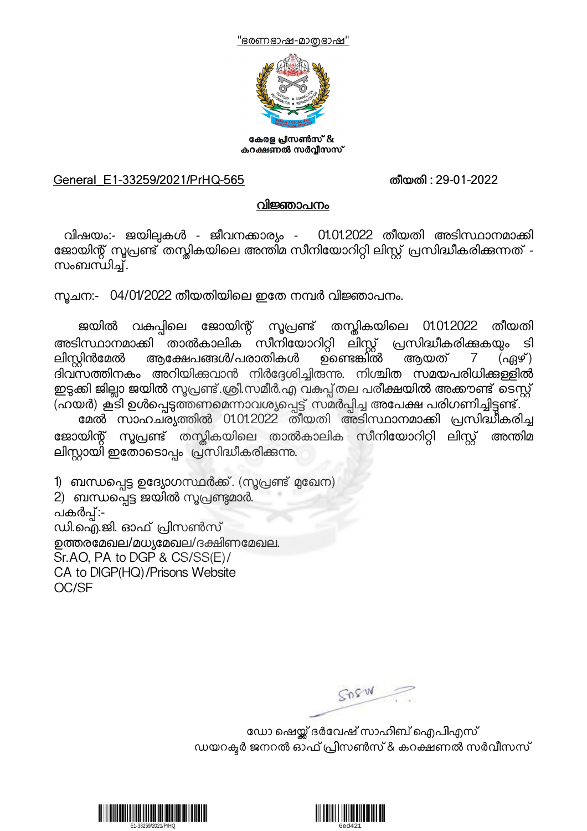



കേരള പ്രസൺസ് & കറക്ഷണൽ സർവ്വീസസ്

## General\_E1-33259/2021/PrHQ-565 തീയതി : 29-01-2022

## വിജ്ഞാപനം

വിഷയം:- ജയില്പകൾ - ജീവനക്കാര്യം - 01.01.2022 തീയതി അടിസ്ഥാനമാക്കി ജോയിന്റ് സൂപ്രണ്ട് തന്തികയിലെ അന്തിമ സീനിയോറിറ്റി ലിസ്റ്റ് പ്രസിദ്ധീകരിക്കുന്നത് -<br>സംബന്ധിച്.

.സൂചന:-  $\,$  04/01/2022 തീയതിയിലെ ഇതേ നമ്പർ വിജ്ഞാപനം.

ജയിൽ വകപ്പിലെ ജോയിന്റ് സൂപ്രണ്ട് തസ്കികയിലെ 01.01.2022 തീയതി അടിസ്ഥാനമാക്കി താൽകാലിക സീനിയോറിറ്റി ലിസ്റ്റ് പ്രസിദ്ധീകരിക്കുകയും ടി<br>ലിസ്ലിൻമേൽ ആക്ഷേപങ്ങൾ/പരാതികൾ ഉണ്ടെങ്കിൽ ആയത് 7 (ഏഴ്) ആക്ഷേപങ്ങൾ/പരാതികൾ ദിവസത്തിനകം അറിയിക്കവാൻ നിർദ്ദേശിച്ചിരുന്നു. നിശ്ചിത സമയപരിധിക്കള്ളിൽ ഇട്ടക്കി ജില്ലാ ജയിൽ സൂപ്രണ്ട് ശ്രീ.സമീർ.എ വകുപ്പ്തല പരീക്ഷയിൽ അക്കൗണ്ട് ടെസ്റ്റ് (ഹയർ) കൂടി ഉൾപ്പെടുത്തണമെന്നാവശ്യപ്പെട്ട് സമർപ്പിച്ച അപേക്ഷ പരിഗണിച്ചിട്ടണ്ട്.

മേൽ സാഹചര്യത്തിൽ 01.01.2022 തീയതി അടിസ്ഥാനമാക്കി പ്രസിദ്ധീകരിച്ച ജോയിന്റ് സൂപ്രണ്ട് തസ്കികയിലെ താൽകാലിക സീനിയോറിറ്റി ലിസ്റ്റ് അന്തിമ ലിസ്റ്റായി ഇതോടൊപ്പം "പ്രസിദ്ധീകരിക്കുന്നു.

1) ബന്ധപ്പെട്ട ഉദ്യോഗസ്ഥർക്ക്. (സൂപ്രണ്ട് മുഖേന)

2) ബന്ധപ്പെട്ട ജയിൽ സൂപ്രണ്ടുമാർ.<br>പകർപ്പ്:-ഡി.ഐ.ജി. ഓഫ് പ്രിസൺസ് ഉത്തരമേഖല/മധ്യമേഖല/ദക്ഷിണമേഖല. Sr.AO, PA to DGP & CS/SS(E)/ CA to DIGP(HQ)/Prisons Website OC/SF

GOSW

ഡോ ഷെയ്ക് ദർവേഷ് സാഹിബ് ഐപിഎസ് ഡയറക്ടർ ജനറൽ ഓഫ് പ്രിസൺസ് & കറക്ഷണൽ സർവീസസ്



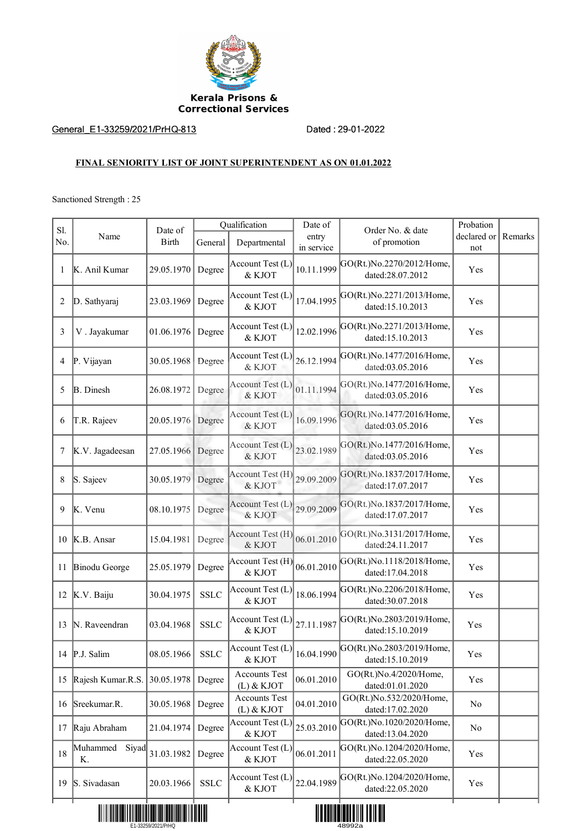

## General\_E1-33259/2021/PrHQ-813 Dated : 29-01-2022

## **FINAL SENIORITY LIST OF JOINT SUPERINTENDENT AS ON 01.01.2022**

Sanctioned Strength : 25

| S1. | Name                    | Date of<br><b>Birth</b> | Qualification |                                      | Date of             | Order No. & date                              | Probation          |         |
|-----|-------------------------|-------------------------|---------------|--------------------------------------|---------------------|-----------------------------------------------|--------------------|---------|
| No. |                         |                         | General       | Departmental                         | entry<br>in service | of promotion                                  | declared or<br>not | Remarks |
| 1   | K. Anil Kumar           | 29.05.1970              | Degree        | Account Test (L)<br>& KJOT           | 10.11.1999          | GO(Rt.)No.2270/2012/Home,<br>dated:28.07.2012 | Yes                |         |
| 2   | D. Sathyaraj            | 23.03.1969              | Degree        | Account Test (L)<br>& KJOT           | 17.04.1995          | GO(Rt.)No.2271/2013/Home,<br>dated:15.10.2013 | Yes                |         |
| 3   | V. Jayakumar            | 01.06.1976              | Degree        | Account Test (L)<br>& KJOT           | 12.02.1996          | GO(Rt.)No.2271/2013/Home,<br>dated:15.10.2013 | Yes                |         |
| 4   | P. Vijayan              | 30.05.1968              | Degree        | Account Test (L)<br>& KJOT           | 26.12.1994          | GO(Rt.)No.1477/2016/Home,<br>dated:03.05.2016 | Yes                |         |
| 5   | <b>B.</b> Dinesh        | 26.08.1972              | Degree        | Account Test (L)<br>& KJOT           | 01.11.1994          | GO(Rt.)No.1477/2016/Home,<br>dated:03.05.2016 | Yes                |         |
| 6   | T.R. Rajeev             | 20.05.1976              | Degree        | Account Test (L)<br>& KJOT           | 16.09.1996          | GO(Rt.)No.1477/2016/Home,<br>dated:03.05.2016 | Yes                |         |
| 7   | K.V. Jagadeesan         | 27.05.1966 Degree       |               | Account Test (L)<br>& KJOT           | 23.02.1989          | GO(Rt.)No.1477/2016/Home,<br>dated:03.05.2016 | Yes                |         |
| 8   | S. Sajeev               | 30.05.1979              | Degree        | Account Test (H)<br>& KJOT           | 29.09.2009          | GO(Rt.)No.1837/2017/Home,<br>dated:17.07.2017 | Yes                |         |
| 9   | K. Venu                 | 08.10.1975              | Degree        | Account Test $(L)$<br>& KJOT         | 29.09.2009          | GO(Rt.)No.1837/2017/Home,<br>dated:17.07.2017 | Yes                |         |
| 10  | K.B. Ansar              | 15.04.1981              | Degree        | Account Test (H)<br>& KJOT           | 06.01.2010          | GO(Rt.)No.3131/2017/Home,<br>dated:24.11.2017 | Yes                |         |
| 11  | Binodu George           | 25.05.1979              | Degree        | Account Test (H)<br>& KJOT           | 06.01.2010          | GO(Rt.)No.1118/2018/Home,<br>dated:17.04.2018 | Yes                |         |
| 12  | K.V. Baiju              | 30.04.1975              | <b>SSLC</b>   | Account Test (L)<br>& KJOT           | 18.06.1994          | GO(Rt.)No.2206/2018/Home,<br>dated:30.07.2018 | Yes                |         |
| 13  | N. Raveendran           | 03.04.1968              | <b>SSLC</b>   | Account Test (L)<br>& KJOT           | 27.11.1987          | GO(Rt.)No.2803/2019/Home,<br>dated:15.10.2019 | Yes                |         |
|     | 14 P.J. Salim           | 08.05.1966              | <b>SSLC</b>   | Account Test (L)<br>& KJOT           | 16.04.1990          | GO(Rt.)No.2803/2019/Home,<br>dated:15.10.2019 | Yes                |         |
|     | 15 Rajesh Kumar.R.S.    | 30.05.1978              | Degree        | <b>Accounts Test</b><br>$(L)$ & KJOT | 06.01.2010          | GO(Rt.)No.4/2020/Home,<br>dated:01.01.2020    | Yes                |         |
| 16  | Sreekumar.R.            | 30.05.1968              | Degree        | <b>Accounts Test</b><br>$(L)$ & KJOT | 04.01.2010          | GO(Rt.)No.532/2020/Home,<br>dated:17.02.2020  | No                 |         |
| 17  | Raju Abraham            | 21.04.1974              | Degree        | Account Test (L)<br>& KJOT           | 25.03.2010          | GO(Rt.)No.1020/2020/Home,<br>dated:13.04.2020 | N <sub>0</sub>     |         |
| 18  | Muhammed<br>Siyad<br>Κ. | 31.03.1982              | Degree        | Account Test (L)<br>& KJOT           | 06.01.2011          | GO(Rt.)No.1204/2020/Home,<br>dated:22.05.2020 | Yes                |         |
| 19  | S. Sivadasan            | 20.03.1966              | ${\rm SSLC}$  | Account Test (L)<br>& KJOT           | 22.04.1989          | GO(Rt.)No.1204/2020/Home,<br>dated:22.05.2020 | Yes                |         |
|     |                         |                         |               |                                      |                     |                                               |                    |         |